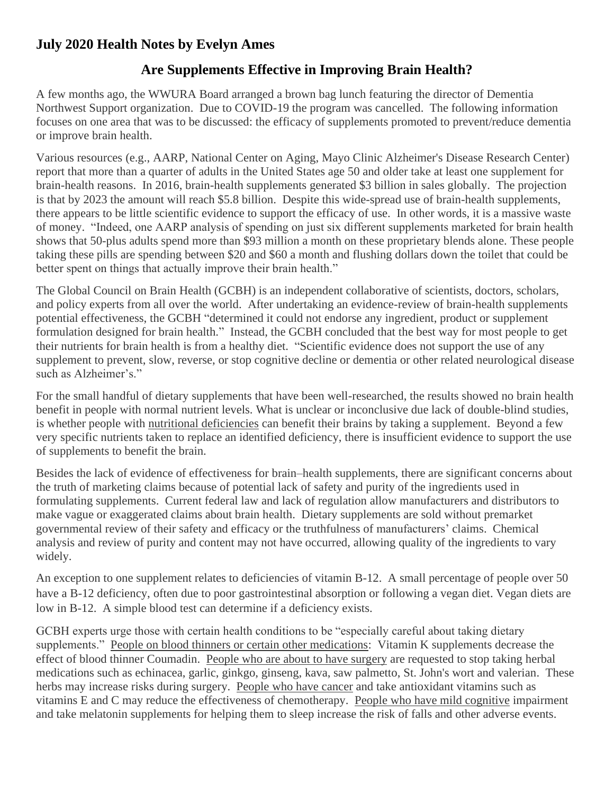## **July 2020 Health Notes by Evelyn Ames**

## **Are Supplements Effective in Improving Brain Health?**

A few months ago, the WWURA Board arranged a brown bag lunch featuring the director of Dementia Northwest Support organization. Due to COVID-19 the program was cancelled. The following information focuses on one area that was to be discussed: the efficacy of supplements promoted to prevent/reduce dementia or improve brain health.

Various resources (e.g., AARP, National Center on Aging, Mayo Clinic Alzheimer's Disease Research Center) report that more than a quarter of adults in the United States age 50 and older take at least one supplement for brain-health reasons. In 2016, brain-health supplements generated \$3 billion in sales globally. The projection is that by 2023 the amount will reach \$5.8 billion. Despite this wide-spread use of brain-health supplements, there appears to be little scientific evidence to support the efficacy of use. In other words, it is a massive waste of money. "Indeed, one AARP analysis of spending on just six different supplements marketed for brain health shows that 50-plus adults spend more than \$93 million a month on these proprietary blends alone. These people taking these pills are spending between \$20 and \$60 a month and flushing dollars down the toilet that could be better spent on things that actually improve their brain health."

The Global Council on Brain Health (GCBH) is an independent collaborative of scientists, doctors, scholars, and policy experts from all over the world. After undertaking an evidence-review of brain-health supplements potential effectiveness, the GCBH "determined it could not endorse any ingredient, product or supplement formulation designed for brain health." Instead, the GCBH concluded that the best way for most people to get their nutrients for brain health is from a healthy diet. "Scientific evidence does not support the use of any supplement to prevent, slow, reverse, or stop cognitive decline or dementia or other related neurological disease such as Alzheimer's."

For the small handful of dietary supplements that have been well-researched, the results showed no brain health benefit in people with normal nutrient levels. What is unclear or inconclusive due lack of double-blind studies, is whether people with nutritional deficiencies can benefit their brains by taking a supplement. Beyond a few very specific nutrients taken to replace an identified deficiency, there is insufficient evidence to support the use of supplements to benefit the brain.

Besides the lack of evidence of effectiveness for brain–health supplements, there are significant concerns about the truth of marketing claims because of potential lack of safety and purity of the ingredients used in formulating supplements. Current federal law and lack of regulation allow manufacturers and distributors to make vague or exaggerated claims about brain health. Dietary supplements are sold without premarket governmental review of their safety and efficacy or the truthfulness of manufacturers' claims. Chemical analysis and review of purity and content may not have occurred, allowing quality of the ingredients to vary widely.

An exception to one supplement relates to deficiencies of vitamin B-12. A small percentage of people over 50 have a B-12 deficiency, often due to poor gastrointestinal absorption or following a vegan diet. Vegan diets are low in B-12. A simple blood test can determine if a deficiency exists.

GCBH experts urge those with certain health conditions to be "especially careful about taking dietary supplements." People on blood thinners or certain other medications: Vitamin K supplements decrease the effect of blood thinner Coumadin. People who are about to have surgery are requested to stop taking herbal medications such as echinacea, garlic, ginkgo, ginseng, kava, saw palmetto, St. John's wort and valerian. These herbs may increase risks during surgery. People who have cancer and take antioxidant vitamins such as vitamins E and C may reduce the effectiveness of chemotherapy. People who have mild cognitive impairment and take melatonin supplements for helping them to sleep increase the risk of falls and other adverse events.